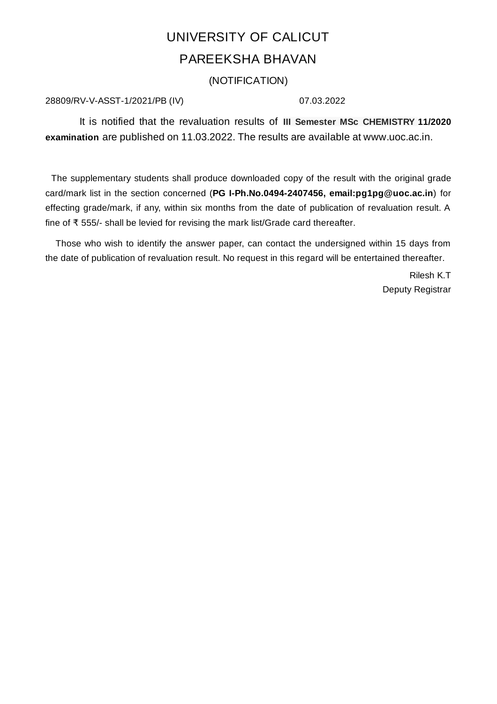## UNIVERSITY OF CALICUT PAREEKSHA BHAVAN

(NOTIFICATION)

## 28809/RV-V-ASST-1/2021/PB (IV) 07.03.2022

It is notified that the revaluation results of **III Semester MSc CHEMISTRY 11/2020 examination** are published on 11.03.2022. The results are available at www.uoc.ac.in.

The supplementary students shall produce downloaded copy of the result with the original grade card/mark list in the section concerned (**PG I-Ph.No.0494-2407456, email:pg1pg@uoc.ac.in**) for effecting grade/mark, if any, within six months from the date of publication of revaluation result. A fine of ₹ 555/- shall be levied for revising the mark list/Grade card thereafter.

Those who wish to identify the answer paper, can contact the undersigned within 15 days from the date of publication of revaluation result. No request in this regard will be entertained thereafter.

> Rilesh K.T Deputy Registrar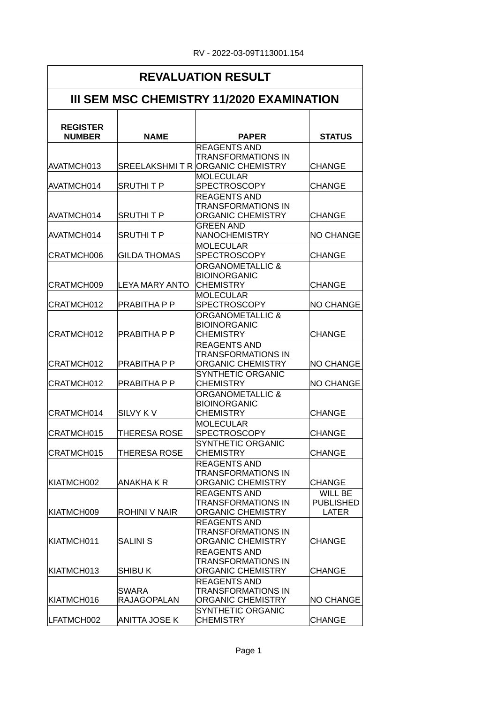| <b>REVALUATION RESULT</b><br><b>III SEM MSC CHEMISTRY 11/2020 EXAMINATION</b> |                             |                                                                                      |                                             |  |
|-------------------------------------------------------------------------------|-----------------------------|--------------------------------------------------------------------------------------|---------------------------------------------|--|
|                                                                               |                             |                                                                                      |                                             |  |
| AVATMCH013                                                                    |                             | <b>REAGENTS AND</b><br><b>TRANSFORMATIONS IN</b><br>SREELAKSHMIT R ORGANIC CHEMISTRY | <b>CHANGE</b>                               |  |
| AVATMCH014                                                                    | <b>SRUTHITP</b>             | <b>MOLECULAR</b><br><b>SPECTROSCOPY</b>                                              | <b>CHANGE</b>                               |  |
| AVATMCH014                                                                    | <b>SRUTHITP</b>             | <b>REAGENTS AND</b><br>TRANSFORMATIONS IN<br><b>ORGANIC CHEMISTRY</b>                | <b>CHANGE</b>                               |  |
| AVATMCH014                                                                    | <b>SRUTHITP</b>             | <b>GREEN AND</b><br><b>NANOCHEMISTRY</b>                                             | <b>NO CHANGE</b>                            |  |
| CRATMCH006                                                                    | <b>GILDA THOMAS</b>         | <b>MOLECULAR</b><br><b>SPECTROSCOPY</b>                                              | <b>CHANGE</b>                               |  |
| CRATMCH009                                                                    | <b>LEYA MARY ANTO</b>       | ORGANOMETALLIC &<br><b>BIOINORGANIC</b><br><b>CHEMISTRY</b>                          | <b>CHANGE</b>                               |  |
| CRATMCH012                                                                    | PRABITHA P P                | <b>MOLECULAR</b><br><b>SPECTROSCOPY</b>                                              | <b>NO CHANGE</b>                            |  |
| CRATMCH012                                                                    | PRABITHA P P                | <b>ORGANOMETALLIC &amp;</b><br><b>BIOINORGANIC</b><br><b>CHEMISTRY</b>               | <b>CHANGE</b>                               |  |
| CRATMCH012                                                                    | PRABITHA P P                | <b>REAGENTS AND</b><br><b>TRANSFORMATIONS IN</b><br>ORGANIC CHEMISTRY                | <b>NO CHANGE</b>                            |  |
| CRATMCH012                                                                    | PRABITHA P P                | <b>SYNTHETIC ORGANIC</b><br><b>CHEMISTRY</b>                                         | <b>NO CHANGE</b>                            |  |
| CRATMCH014                                                                    | <b>SILVY KV</b>             | <b>ORGANOMETALLIC &amp;</b><br><b>BIOINORGANIC</b><br><b>CHEMISTRY</b>               | CHANGE                                      |  |
| CRATMCH015                                                                    | THERESA ROSE                | <b>MOLECULAR</b><br><b>SPECTROSCOPY</b>                                              | <b>CHANGE</b>                               |  |
| CRATMCH015                                                                    | THERESA ROSE                | SYNTHETIC ORGANIC<br><b>CHEMISTRY</b>                                                | <b>CHANGE</b>                               |  |
| KIATMCH002                                                                    | ANAKHA K R                  | <b>REAGENTS AND</b><br>TRANSFORMATIONS IN<br>ORGANIC CHEMISTRY                       | <b>CHANGE</b>                               |  |
| KIATMCH009                                                                    | <b>ROHINI V NAIR</b>        | <b>REAGENTS AND</b><br>TRANSFORMATIONS IN<br>ORGANIC CHEMISTRY                       | WILL BE<br><b>PUBLISHED</b><br><b>LATER</b> |  |
| KIATMCH011                                                                    | <b>SALINI S</b>             | <b>REAGENTS AND</b><br>TRANSFORMATIONS IN<br>ORGANIC CHEMISTRY                       | <b>CHANGE</b>                               |  |
| KIATMCH013                                                                    | <b>SHIBU K</b>              | <b>REAGENTS AND</b><br>TRANSFORMATIONS IN<br>ORGANIC CHEMISTRY                       | <b>CHANGE</b>                               |  |
| KIATMCH016                                                                    | SWARA<br><b>RAJAGOPALAN</b> | <b>REAGENTS AND</b><br>TRANSFORMATIONS IN<br>ORGANIC CHEMISTRY                       | <b>NO CHANGE</b>                            |  |
| LFATMCH002                                                                    | <b>ANITTA JOSE K</b>        | SYNTHETIC ORGANIC<br><b>CHEMISTRY</b>                                                | <b>CHANGE</b>                               |  |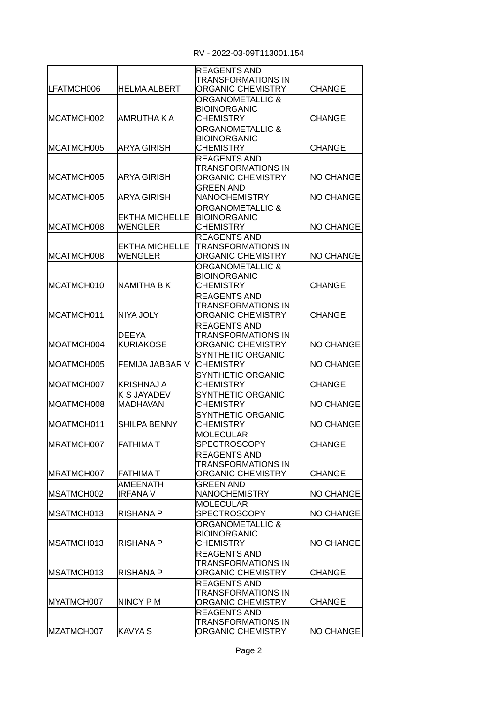| LFATMCH006               | <b>HELMA ALBERT</b>                     | <b>REAGENTS AND</b><br><b>TRANSFORMATIONS IN</b><br>ORGANIC CHEMISTRY                                                                            | <b>CHANGE</b>                  |
|--------------------------|-----------------------------------------|--------------------------------------------------------------------------------------------------------------------------------------------------|--------------------------------|
| MCATMCH002<br>MCATMCH005 | AMRUTHA K A<br><b>ARYA GIRISH</b>       | <b>ORGANOMETALLIC &amp;</b><br><b>BIOINORGANIC</b><br><b>CHEMISTRY</b><br><b>ORGANOMETALLIC &amp;</b><br><b>BIOINORGANIC</b><br><b>CHEMISTRY</b> | <b>CHANGE</b><br><b>CHANGE</b> |
|                          |                                         | <b>REAGENTS AND</b><br>TRANSFORMATIONS IN                                                                                                        |                                |
| MCATMCH005               | <b>ARYA GIRISH</b>                      | <b>ORGANIC CHEMISTRY</b>                                                                                                                         | <b>NO CHANGE</b>               |
| MCATMCH005               | ARYA GIRISH                             | <b>GREEN AND</b><br><b>NANOCHEMISTRY</b>                                                                                                         | <b>NO CHANGE</b>               |
| MCATMCH008               | EKTHA MICHELLE<br>WENGLER               | <b>ORGANOMETALLIC &amp;</b><br><b>BIOINORGANIC</b><br><b>CHEMISTRY</b>                                                                           | <b>NO CHANGE</b>               |
| MCATMCH008               | <b>EKTHA MICHELLE</b><br><b>WENGLER</b> | <b>REAGENTS AND</b><br><b>TRANSFORMATIONS IN</b><br>ORGANIC CHEMISTRY                                                                            | <b>NO CHANGE</b>               |
| MCATMCH010               | <b>NAMITHA B K</b>                      | <b>ORGANOMETALLIC &amp;</b><br><b>BIOINORGANIC</b><br><b>CHEMISTRY</b>                                                                           | <b>CHANGE</b>                  |
| MCATMCH011               | NIYA JOLY                               | <b>REAGENTS AND</b><br><b>TRANSFORMATIONS IN</b><br><b>ORGANIC CHEMISTRY</b>                                                                     | <b>CHANGE</b>                  |
| MOATMCH004               | <b>DEEYA</b><br><b>KURIAKOSE</b>        | <b>REAGENTS AND</b><br>TRANSFORMATIONS IN<br>ORGANIC CHEMISTRY                                                                                   | <b>NO CHANGE</b>               |
| MOATMCH005               | FEMIJA JABBAR V                         | <b>SYNTHETIC ORGANIC</b><br><b>CHEMISTRY</b>                                                                                                     | <b>NO CHANGE</b>               |
| MOATMCH007               | <b>KRISHNAJ A</b>                       | <b>SYNTHETIC ORGANIC</b><br><b>CHEMISTRY</b>                                                                                                     | <b>CHANGE</b>                  |
| MOATMCH008               | K S JAYADEV<br><b>MADHAVAN</b>          | <b>SYNTHETIC ORGANIC</b><br><b>CHEMISTRY</b><br><b>SYNTHETIC ORGANIC</b>                                                                         | <b>NO CHANGE</b>               |
| MOATMCH011               | <b>SHILPA BENNY</b>                     | <b>CHEMISTRY</b>                                                                                                                                 | <b>NO CHANGE</b>               |
| MRATMCH007               | <b>FATHIMAT</b>                         | <b>MOLECULAR</b><br><b>SPECTROSCOPY</b>                                                                                                          | <b>CHANGE</b>                  |
| MRATMCH007               | <b>FATHIMA T</b>                        | <b>REAGENTS AND</b><br><b>TRANSFORMATIONS IN</b><br>ORGANIC CHEMISTRY                                                                            | <b>CHANGE</b>                  |
| MSATMCH002               | AMEENATH<br><b>IRFANA V</b>             | <b>GREEN AND</b><br><b>NANOCHEMISTRY</b>                                                                                                         | <b>NO CHANGE</b>               |
| IMSATMCH013              | RISHANA P                               | <b>MOLECULAR</b><br><b>SPECTROSCOPY</b>                                                                                                          | <b>NO CHANGE</b>               |
| MSATMCH013               | RISHANA P                               | <b>ORGANOMETALLIC &amp;</b><br><b>BIOINORGANIC</b><br><b>CHEMISTRY</b>                                                                           | <b>NO CHANGE</b>               |
| MSATMCH013               | RISHANA P                               | <b>REAGENTS AND</b><br><b>TRANSFORMATIONS IN</b><br>ORGANIC CHEMISTRY                                                                            | <b>CHANGE</b>                  |
| MYATMCH007               | NINCY P M                               | <b>REAGENTS AND</b><br>TRANSFORMATIONS IN<br>ORGANIC CHEMISTRY                                                                                   | CHANGE                         |
| MZATMCH007               | <b>KAVYA S</b>                          | <b>REAGENTS AND</b><br>TRANSFORMATIONS IN<br>ORGANIC CHEMISTRY                                                                                   | <b>NO CHANGE</b>               |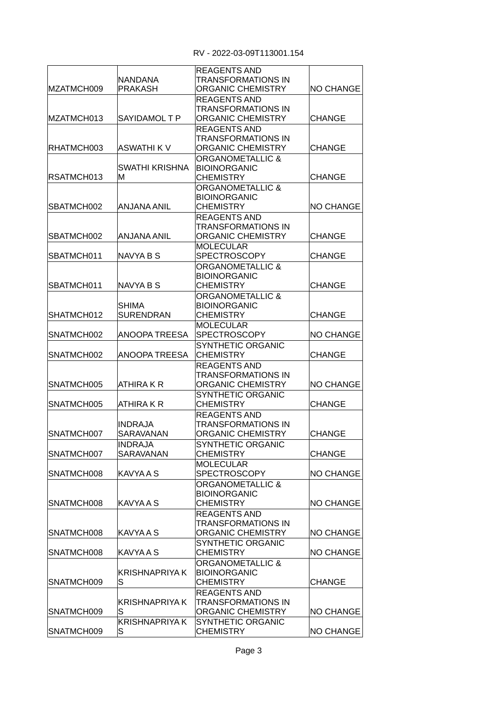| MZATMCH009 | NANDANA<br><b>PRAKASH</b>          | <b>REAGENTS AND</b><br>TRANSFORMATIONS IN<br>ORGANIC CHEMISTRY               | <b>NO CHANGE</b> |
|------------|------------------------------------|------------------------------------------------------------------------------|------------------|
| MZATMCH013 | SAYIDAMOL T P                      | <b>REAGENTS AND</b><br><b>TRANSFORMATIONS IN</b><br><b>ORGANIC CHEMISTRY</b> | <b>CHANGE</b>    |
| RHATMCH003 | ASWATHI K V                        | <b>REAGENTS AND</b><br>TRANSFORMATIONS IN<br>ORGANIC CHEMISTRY               | <b>CHANGE</b>    |
|            | SWATHI KRISHNA                     | <b>ORGANOMETALLIC &amp;</b><br><b>BIOINORGANIC</b>                           |                  |
| RSATMCH013 | M                                  | <b>CHEMISTRY</b>                                                             | <b>CHANGE</b>    |
| SBATMCH002 | ANJANA ANIL                        | <b>ORGANOMETALLIC &amp;</b><br><b>BIOINORGANIC</b><br><b>CHEMISTRY</b>       | <b>NO CHANGE</b> |
| SBATMCH002 | ANJANA ANIL                        | <b>REAGENTS AND</b><br>TRANSFORMATIONS IN<br>ORGANIC CHEMISTRY               | <b>CHANGE</b>    |
| SBATMCH011 | NAVYA B S                          | <b>MOLECULAR</b><br><b>SPECTROSCOPY</b>                                      | <b>CHANGE</b>    |
| SBATMCH011 | NAVYA B S                          | <b>ORGANOMETALLIC &amp;</b><br><b>BIOINORGANIC</b><br><b>CHEMISTRY</b>       | <b>CHANGE</b>    |
| SHATMCH012 | <b>SHIMA</b><br><b>SURENDRAN</b>   | <b>ORGANOMETALLIC &amp;</b><br><b>BIOINORGANIC</b><br><b>CHEMISTRY</b>       | <b>CHANGE</b>    |
| SNATMCH002 | ANOOPA TREESA                      | <b>MOLECULAR</b><br><b>SPECTROSCOPY</b>                                      | <b>NO CHANGE</b> |
| SNATMCH002 | ANOOPA TREESA                      | <b>SYNTHETIC ORGANIC</b><br><b>CHEMISTRY</b>                                 | <b>CHANGE</b>    |
| SNATMCH005 | ATHIRA K R                         | <b>REAGENTS AND</b><br>TRANSFORMATIONS IN<br>ORGANIC CHEMISTRY               | <b>NO CHANGE</b> |
| SNATMCH005 | ATHIRA K R                         | <b>SYNTHETIC ORGANIC</b><br><b>CHEMISTRY</b>                                 | <b>CHANGE</b>    |
| SNATMCH007 | <b>INDRAJA</b><br>SARAVANAN        | <b>REAGENTS AND</b><br>TRANSFORMATIONS IN<br><b>ORGANIC CHEMISTRY</b>        | <b>CHANGE</b>    |
| SNATMCH007 | <b>INDRAJA</b><br><b>SARAVANAN</b> | SYNTHETIC ORGANIC<br><b>CHEMISTRY</b>                                        | CHANGE           |
| SNATMCH008 | <b>KAVYA A S</b>                   | <b>MOLECULAR</b><br><b>SPECTROSCOPY</b>                                      | <b>NO CHANGE</b> |
| SNATMCH008 | KAVYA A S                          | <b>ORGANOMETALLIC &amp;</b><br><b>BIOINORGANIC</b><br><b>CHEMISTRY</b>       | <b>NO CHANGE</b> |
| SNATMCH008 | <b>KAVYA A S</b>                   | <b>REAGENTS AND</b><br>TRANSFORMATIONS IN<br>ORGANIC CHEMISTRY               | <b>NO CHANGE</b> |
| SNATMCH008 | <b>KAVYAAS</b>                     | SYNTHETIC ORGANIC<br><b>CHEMISTRY</b>                                        | <b>NO CHANGE</b> |
| SNATMCH009 | KRISHNAPRIYA K<br>S                | <b>ORGANOMETALLIC &amp;</b><br><b>BIOINORGANIC</b><br><b>CHEMISTRY</b>       | <b>CHANGE</b>    |
| SNATMCH009 | <b>KRISHNAPRIYA K</b><br>S         | <b>REAGENTS AND</b><br>TRANSFORMATIONS IN<br>ORGANIC CHEMISTRY               | <b>NO CHANGE</b> |
| SNATMCH009 | <b>KRISHNAPRIYA K</b><br>S         | <b>SYNTHETIC ORGANIC</b><br><b>CHEMISTRY</b>                                 | NO CHANGE        |